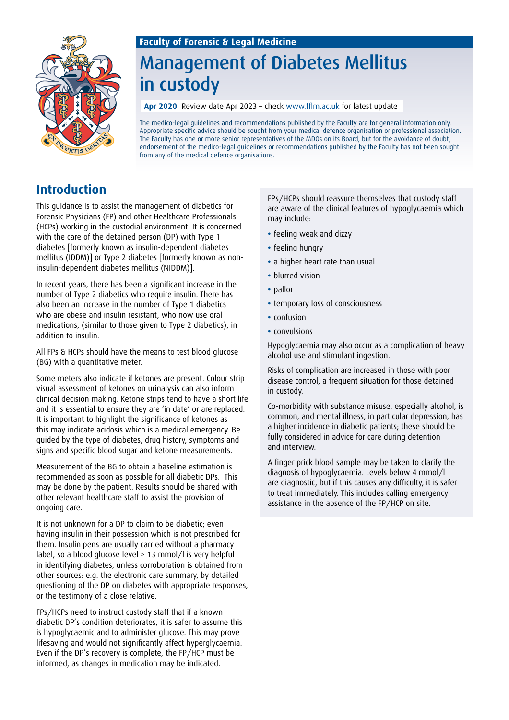# Management of Diabetes Mellitus in custody

**Apr 2020** Review date Apr 2023 – check www.fflm.ac.uk for latest update

The medico-legal guidelines and recommendations published by the Faculty are for general information only. Appropriate specific advice should be sought from your medical defence organisation or professional association. The Faculty has one or more senior representatives of the MDOs on its Board, but for the avoidance of doubt, endorsement of the medico-legal guidelines or recommendations published by the Faculty has not been sought from any of the medical defence organisations.

## **Introduction**

This guidance is to assist the management of diabetics for Forensic Physicians (FP) and other Healthcare Professionals (HCPs) working in the custodial environment. It is concerned with the care of the detained person (DP) with Type 1 diabetes [formerly known as insulin-dependent diabetes mellitus (IDDM)] or Type 2 diabetes [formerly known as noninsulin-dependent diabetes mellitus (NIDDM)].

In recent years, there has been a significant increase in the number of Type 2 diabetics who require insulin. There has also been an increase in the number of Type 1 diabetics who are obese and insulin resistant, who now use oral medications, (similar to those given to Type 2 diabetics), in addition to insulin.

All FPs & HCPs should have the means to test blood glucose (BG) with a quantitative meter.

Some meters also indicate if ketones are present. Colour strip visual assessment of ketones on urinalysis can also inform clinical decision making. Ketone strips tend to have a short life and it is essential to ensure they are 'in date' or are replaced. It is important to highlight the significance of ketones as this may indicate acidosis which is a medical emergency. Be guided by the type of diabetes, drug history, symptoms and signs and specific blood sugar and ketone measurements.

Measurement of the BG to obtain a baseline estimation is recommended as soon as possible for all diabetic DPs. This may be done by the patient. Results should be shared with other relevant healthcare staff to assist the provision of ongoing care.

It is not unknown for a DP to claim to be diabetic; even having insulin in their possession which is not prescribed for them. Insulin pens are usually carried without a pharmacy label, so a blood glucose level > 13 mmol/l is very helpful in identifying diabetes, unless corroboration is obtained from other sources: e.g. the electronic care summary, by detailed questioning of the DP on diabetes with appropriate responses, or the testimony of a close relative.

FPs/HCPs need to instruct custody staff that if a known diabetic DP's condition deteriorates, it is safer to assume this is hypoglycaemic and to administer glucose. This may prove lifesaving and would not significantly affect hyperglycaemia. Even if the DP's recovery is complete, the FP/HCP must be informed, as changes in medication may be indicated.

FPs/HCPs should reassure themselves that custody staff are aware of the clinical features of hypoglycaemia which may include:

- **•** feeling weak and dizzy
- **•** feeling hungry
- **•** a higher heart rate than usual
- **•** blurred vision
- **•** pallor
- **•** temporary loss of consciousness
- **•** confusion
- **•** convulsions

Hypoglycaemia may also occur as a complication of heavy alcohol use and stimulant ingestion.

Risks of complication are increased in those with poor disease control, a frequent situation for those detained in custody.

Co-morbidity with substance misuse, especially alcohol, is common, and mental illness, in particular depression, has a higher incidence in diabetic patients; these should be fully considered in advice for care during detention and interview.

A finger prick blood sample may be taken to clarify the diagnosis of hypoglycaemia. Levels below 4 mmol/l are diagnostic, but if this causes any difficulty, it is safer to treat immediately. This includes calling emergency assistance in the absence of the FP/HCP on site.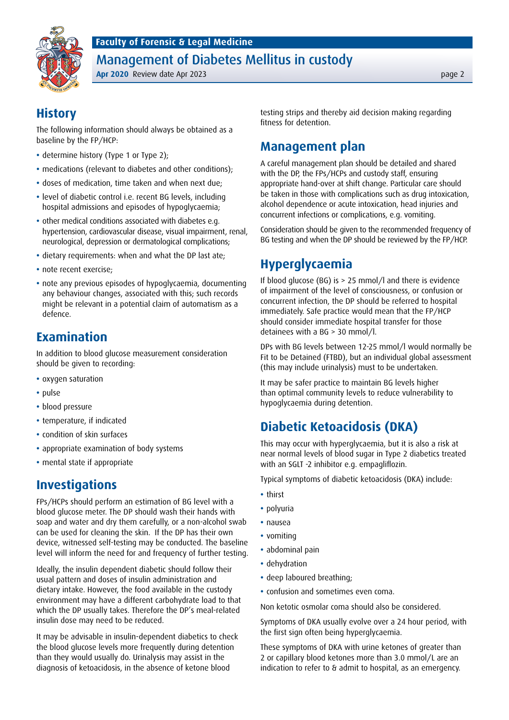Management of Diabetes Mellitus in custody

**Apr 2020** Review date Apr 2023 page 2



#### **History**

The following information should always be obtained as a baseline by the FP/HCP:

- determine history (Type 1 or Type 2);
- **•** medications (relevant to diabetes and other conditions);
- **•** doses of medication, time taken and when next due;
- **•** level of diabetic control i.e. recent BG levels, including hospital admissions and episodes of hypoglycaemia;
- **•** other medical conditions associated with diabetes e.g. hypertension, cardiovascular disease, visual impairment, renal, neurological, depression or dermatological complications;
- **•** dietary requirements: when and what the DP last ate;
- **•** note recent exercise;
- **•** note any previous episodes of hypoglycaemia, documenting any behaviour changes, associated with this; such records might be relevant in a potential claim of automatism as a defence.

### **Examination**

In addition to blood glucose measurement consideration should be given to recording:

- **•** oxygen saturation
- **•** pulse
- **•** blood pressure
- **•** temperature, if indicated
- **•** condition of skin surfaces
- **•** appropriate examination of body systems
- **•** mental state if appropriate

#### **Investigations**

FPs/HCPs should perform an estimation of BG level with a blood glucose meter. The DP should wash their hands with soap and water and dry them carefully, or a non-alcohol swab can be used for cleaning the skin. If the DP has their own device, witnessed self-testing may be conducted. The baseline level will inform the need for and frequency of further testing.

Ideally, the insulin dependent diabetic should follow their usual pattern and doses of insulin administration and dietary intake. However, the food available in the custody environment may have a different carbohydrate load to that which the DP usually takes. Therefore the DP's meal-related insulin dose may need to be reduced.

It may be advisable in insulin-dependent diabetics to check the blood glucose levels more frequently during detention than they would usually do. Urinalysis may assist in the diagnosis of ketoacidosis, in the absence of ketone blood

testing strips and thereby aid decision making regarding fitness for detention.

#### **Management plan**

A careful management plan should be detailed and shared with the DP, the FPs/HCPs and custody staff, ensuring appropriate hand-over at shift change. Particular care should be taken in those with complications such as drug intoxication, alcohol dependence or acute intoxication, head injuries and concurrent infections or complications, e.g. vomiting.

Consideration should be given to the recommended frequency of BG testing and when the DP should be reviewed by the FP/HCP.

### **Hyperglycaemia**

If blood glucose (BG) is > 25 mmol/l and there is evidence of impairment of the level of consciousness, or confusion or concurrent infection, the DP should be referred to hospital immediately. Safe practice would mean that the FP/HCP should consider immediate hospital transfer for those detainees with a BG > 30 mmol/l.

DPs with BG levels between 12-25 mmol/l would normally be Fit to be Detained (FTBD), but an individual global assessment (this may include urinalysis) must to be undertaken.

It may be safer practice to maintain BG levels higher than optimal community levels to reduce vulnerability to hypoglycaemia during detention.

## **Diabetic Ketoacidosis (DKA)**

This may occur with hyperglycaemia, but it is also a risk at near normal levels of blood sugar in Type 2 diabetics treated with an SGLT -2 inhibitor e.g. empagliflozin.

Typical symptoms of diabetic ketoacidosis (DKA) include:

- **•** thirst
- **•** polyuria
- **•** nausea
- **•** vomiting
- **•** abdominal pain
- **•** dehydration
- **•** deep laboured breathing;
- **•** confusion and sometimes even coma.

Non ketotic osmolar coma should also be considered.

Symptoms of DKA usually evolve over a 24 hour period, with the first sign often being hyperglycaemia.

These symptoms of DKA with urine ketones of greater than 2 or capillary blood ketones more than 3.0 mmol/L are an indication to refer to & admit to hospital, as an emergency.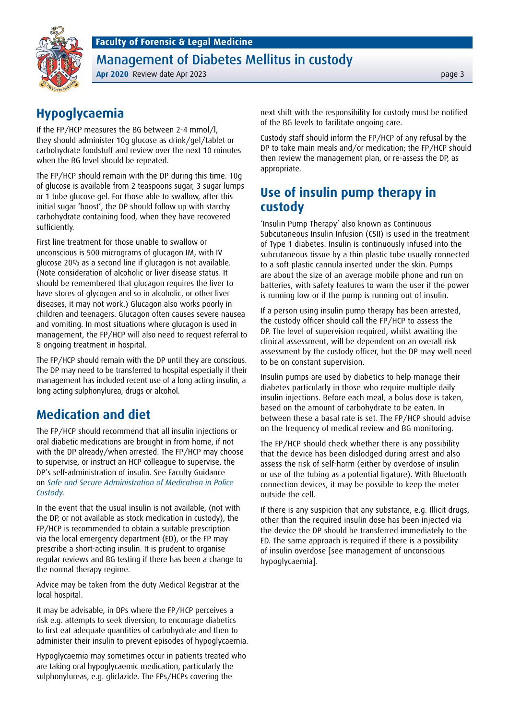Management of Diabetes Mellitus in custody

**Apr 2020** Review date Apr 2023 page 3

## **Hypoglycaemia**

If the FP/HCP measures the BG between 2-4 mmol/l, they should administer 10g glucose as drink/gel/tablet or carbohydrate foodstuff and review over the next 10 minutes when the BG level should be repeated.

The FP/HCP should remain with the DP during this time. 10g of glucose is available from 2 teaspoons sugar, 3 sugar lumps or 1 tube glucose gel. For those able to swallow, after this initial sugar 'boost', the DP should follow up with starchy carbohydrate containing food, when they have recovered sufficiently.

First line treatment for those unable to swallow or unconscious is 500 micrograms of glucagon IM, with IV glucose 20% as a second line if glucagon is not available. (Note consideration of alcoholic or liver disease status. It should be remembered that glucagon requires the liver to have stores of glycogen and so in alcoholic, or other liver diseases, it may not work.) Glucagon also works poorly in children and teenagers. Glucagon often causes severe nausea and vomiting. In most situations where glucagon is used in management, the FP/HCP will also need to request referral to & ongoing treatment in hospital.

The FP/HCP should remain with the DP until they are conscious. The DP may need to be transferred to hospital especially if their management has included recent use of a long acting insulin, a long acting sulphonylurea, drugs or alcohol.

## **Medication and diet**

The FP/HCP should recommend that all insulin injections or oral diabetic medications are brought in from home, if not with the DP already/when arrested. The FP/HCP may choose to supervise, or instruct an HCP colleague to supervise, the DP's self-administration of insulin. See Faculty Guidance on *[Safe and Secure Administration of Medication in Police](https://fflm.ac.uk/publications/recommendations-safe-and-secure-administration-of-medication-in-police-custody/)  [Custody](https://fflm.ac.uk/publications/recommendations-safe-and-secure-administration-of-medication-in-police-custody/)*.

In the event that the usual insulin is not available, (not with the DP, or not available as stock medication in custody), the FP/HCP is recommended to obtain a suitable prescription via the local emergency department (ED), or the FP may prescribe a short-acting insulin. It is prudent to organise regular reviews and BG testing if there has been a change to the normal therapy regime.

Advice may be taken from the duty Medical Registrar at the local hospital.

It may be advisable, in DPs where the FP/HCP perceives a risk e.g. attempts to seek diversion, to encourage diabetics to first eat adequate quantities of carbohydrate and then to administer their insulin to prevent episodes of hypoglycaemia.

Hypoglycaemia may sometimes occur in patients treated who are taking oral hypoglycaemic medication, particularly the sulphonylureas, e.g. gliclazide. The FPs/HCPs covering the

next shift with the responsibility for custody must be notified of the BG levels to facilitate ongoing care.

Custody staff should inform the FP/HCP of any refusal by the DP to take main meals and/or medication; the FP/HCP should then review the management plan, or re-assess the DP, as appropriate.

### **Use of insulin pump therapy in custody**

'Insulin Pump Therapy' also known as Continuous Subcutaneous Insulin Infusion (CSII) is used in the treatment of Type 1 diabetes. Insulin is continuously infused into the subcutaneous tissue by a thin plastic tube usually connected to a soft plastic cannula inserted under the skin. Pumps are about the size of an average mobile phone and run on batteries, with safety features to warn the user if the power is running low or if the pump is running out of insulin.

If a person using insulin pump therapy has been arrested, the custody officer should call the FP/HCP to assess the DP. The level of supervision required, whilst awaiting the clinical assessment, will be dependent on an overall risk assessment by the custody officer, but the DP may well need to be on constant supervision.

Insulin pumps are used by diabetics to help manage their diabetes particularly in those who require multiple daily insulin injections. Before each meal, a bolus dose is taken, based on the amount of carbohydrate to be eaten. In between these a basal rate is set. The FP/HCP should advise on the frequency of medical review and BG monitoring.

The FP/HCP should check whether there is any possibility that the device has been dislodged during arrest and also assess the risk of self-harm (either by overdose of insulin or use of the tubing as a potential ligature). With Bluetooth connection devices, it may be possible to keep the meter outside the cell.

If there is any suspicion that any substance, e.g. Illicit drugs, other than the required insulin dose has been injected via the device the DP should be transferred immediately to the ED. The same approach is required if there is a possibility of insulin overdose [see management of unconscious hypoglycaemia].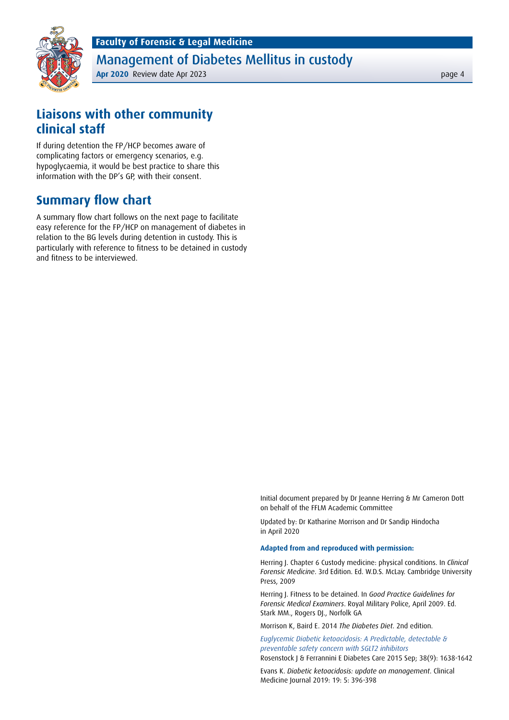Management of Diabetes Mellitus in custody

**Apr 2020** Review date Apr 2023 **page 4** 

#### **Liaisons with other community clinical staff**

If during detention the FP/HCP becomes aware of complicating factors or emergency scenarios, e.g. hypoglycaemia, it would be best practice to share this information with the DP's GP, with their consent.

#### **Summary flow chart**

A summary flow chart follows on the next page to facilitate easy reference for the FP/HCP on management of diabetes in relation to the BG levels during detention in custody. This is particularly with reference to fitness to be detained in custody and fitness to be interviewed.

> Initial document prepared by Dr Jeanne Herring & Mr Cameron Dott on behalf of the FFLM Academic Committee

Updated by: Dr Katharine Morrison and Dr Sandip Hindocha in April 2020

#### **Adapted from and reproduced with permission:**

Herring J. Chapter 6 Custody medicine: physical conditions. In *Clinical Forensic Medicine*. 3rd Edition. Ed. W.D.S. McLay. Cambridge University Press, 2009

Herring J. Fitness to be detained. In *Good Practice Guidelines for Forensic Medical Examiners*. Royal Military Police, April 2009. Ed. Stark MM., Rogers DJ., Norfolk GA

Morrison K, Baird E. 2014 *The Diabetes Diet*. 2nd edition.

*[Euglycemic Diabetic ketoacidosis: A Predictable, detectable &](https://care.diabetesjournals.org/content/38/9/1638)  [preventable safety concern with SGLT2 inhibitors](https://care.diabetesjournals.org/content/38/9/1638)* Rosenstock J & Ferrannini E Diabetes Care 2015 Sep; 38(9): 1638-1642

Evans K. *Diabetic ketoacidosis: update on management*. Clinical Medicine Journal 2019: 19: 5: 396-398